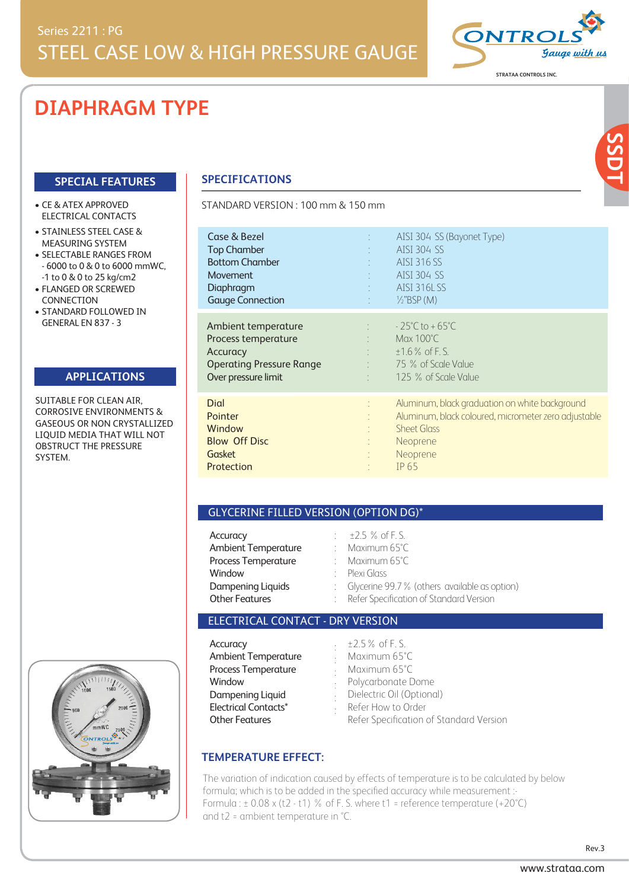# **DIAPHRAGM TYPE**

## **SPECIAL FEATURES**

#### CE & ATEX APPROVED ELECTRICAL CONTACTS

- STAINLESS STEEL CASE & MEASURING SYSTEM
- SELECTABLE RANGES FROM - 6000 to 0 & 0 to 6000 mmWC, -1 to 0 & 0 to 25 kg/cm2
- $\bullet$  FLANGED OR SCREWED **CONNECTION**
- STANDARD FOLLOWED IN GENERAL EN 837 - 3

# **APPLICATIONS**

SUITABLE FOR CLEAN AIR. CORROSIVE ENVIRONMENTS & GASEOUS OR NON CRYSTALLIZED LIQUID MEDIA THAT WILL NOT OBSTRUCT THE PRESSURE SYSTEM.



# **SPECIFICATIONS**

STANDARD VERSION: 100 mm & 150 mm

| Case & Bezel<br><b>Top Chamber</b><br><b>Bottom Chamber</b><br><b>Movement</b><br>Diaphragm<br><b>Gauge Connection</b> | AISI 304 SS (Bayonet Type)<br><b>STATISTICS</b><br>AISI 304 SS<br>AISI 316 SS<br>AISI 304 SS<br><b>AISI 316L SS</b><br>$\frac{1}{2}$ "BSP (M)                                            |                                                                                                        |
|------------------------------------------------------------------------------------------------------------------------|------------------------------------------------------------------------------------------------------------------------------------------------------------------------------------------|--------------------------------------------------------------------------------------------------------|
| Ambient temperature<br>Process temperature<br>Accuracy<br><b>Operating Pressure Range</b><br>Over pressure limit       | $\therefore$ $-25^{\circ}$ C to + 65 $^{\circ}$ C<br>Max $100^{\circ}$ C<br>diam'r.<br>$±1.6\%$ of F.S.<br>$\therefore$ 75 % of Scale Value<br>125 % of Scale Value<br><b>The County</b> |                                                                                                        |
| Dial<br>Pointer<br>Window<br><b>Blow Off Disc</b><br>Gasket<br>Protection                                              | <b>Sheet Glass</b><br>Neoprene<br>Neoprene<br>IP 65                                                                                                                                      | Aluminum, black graduation on white background<br>Aluminum, black coloured, micrometer zero adjustable |

### GLYCERINE FILLED VERSION (OPTION DG)\*

| Accuracy                   | $\pm 2.5$ % of F.S.                             |
|----------------------------|-------------------------------------------------|
| <b>Ambient Temperature</b> | : Maximum $65^{\circ}$ C                        |
| Process Temperature        | : Maximum $65^{\circ}$ C                        |
| Window                     | : Plexi Glass                                   |
| Dampening Liquids          | : Glycerine 99.7 % (others available as option) |
| <b>Other Features</b>      | Refer Specification of Standard Version         |

### ELECTRICAL CONTACT - DRY VERSION

| Accuracy                    | $\pm 2.5\%$ of F.S.                     |
|-----------------------------|-----------------------------------------|
| <b>Ambient Temperature</b>  | Maximum 65°C                            |
| Process Temperature         | Maximum 65°C                            |
| Window                      | - Polycarbonate Dome                    |
| Dampening Liquid            | Dielectric Oil (Optional)               |
| <b>Electrical Contacts*</b> | Refer How to Order                      |
| <b>Other Features</b>       | Refer Specification of Standard Version |

# **TEMPERATURE EFFECT:**

The variation of indication caused by effects of temperature is to be calculated by below formula; which is to be added in the specified accuracy while measurement :- Formula :  $\pm$  0.08 x (t2 - t1) % of F. S. where t1 = reference temperature (+20°C) and t2 = ambient temperature in °C.



**SSDT**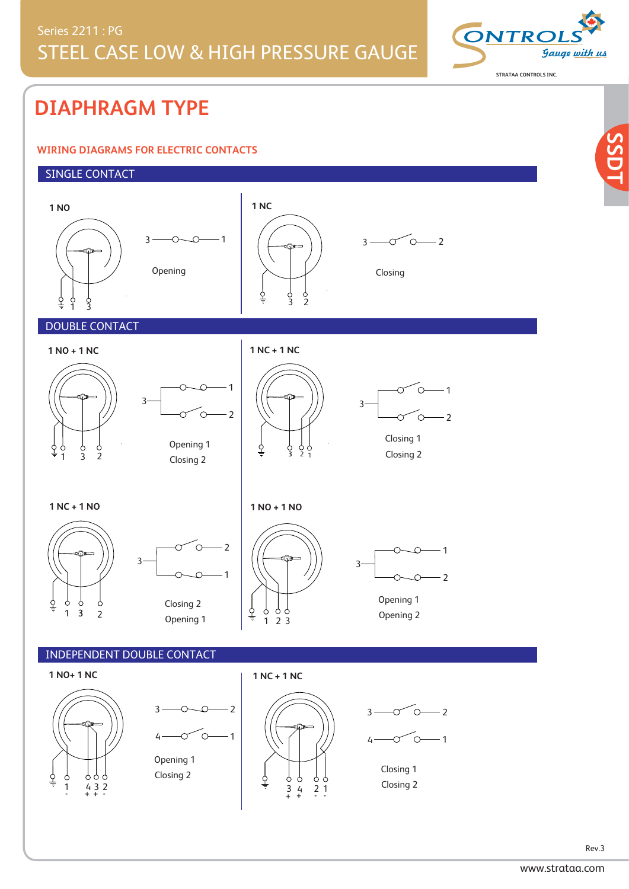

**SSDT**

# **DIAPHRAGM TYPE**

# **WIRING DIAGRAMS FOR ELECTRIC CONTACTS**

# SINGLE CONTACT

ል ሶ



Closing 1 Closing 2

<sup>1</sup> <sup>4</sup> <sup>3</sup> <sup>2</sup> <sup>3</sup> <sup>4</sup> <sup>2</sup> <sup>1</sup> <sup>+</sup> <sup>+</sup> Closing 2 - - <sup>+</sup> <sup>+</sup> - -

Rev.3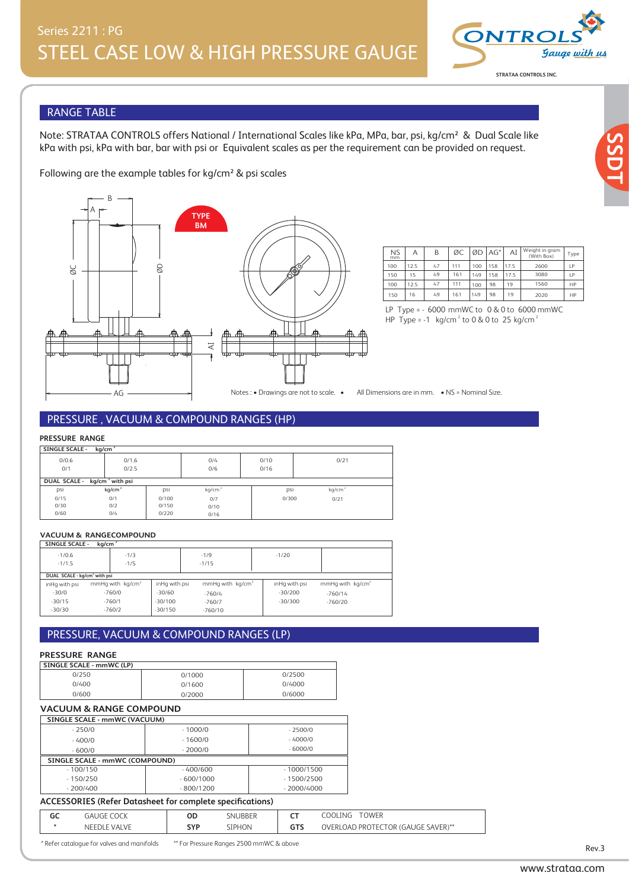

**SSDT**

# RANGE TABLE

Note: STRATAA CONTROLS offers National / International Scales like kPa, MPa, bar, psi, kg/cm² & Dual Scale like kPa with psi, kPa with bar, bar with psi or Equivalent scales as per the requirement can be provided on request.

Following are the example tables for kg/cm² & psi scales



| <b>NS</b><br>mm | Α    | B  | ØС  | ØD  | $AG^*$ | AI   | Weight in gram<br>(With Box) | Type |
|-----------------|------|----|-----|-----|--------|------|------------------------------|------|
| 100             | 12.5 | 47 | 111 | 100 | 158    | 17.5 | 2600                         | 1P   |
| 150             | 15   | 49 | 161 | 149 | 158    | 17.5 | 3080                         | 1P   |
| 100             | 12.5 | 47 | 111 | 100 | 98     | 19   | 1560                         | HP   |
| 150             | 16   | 49 | 161 | 149 | 98     | 19   | 2020                         | HP   |

HP Type =  $-1$  ka/cm<sup>2</sup> to 0.8 0 to 25 kg/cm<sup>2</sup> HP Type = -1  $\text{kg/cm}^2$  to 0 & 0 to 25 kg/cm<sup>2</sup>

Notes: • Drawings are not to scale. • All Dimensions are in mm. • NS = Nominal Size.

#### PRESSURE , VACUUM & COMPOUND RANGES (HP)

#### **PRESSURE RANGE**

| SINGLE SCALE - kg/cm <sup>2</sup>        |                    |       |                    |       |       |
|------------------------------------------|--------------------|-------|--------------------|-------|-------|
| 0/0.6                                    | 0/1.6              |       | O/4                | 0/10  | 0/21  |
| 0/1                                      | 0/2.5              |       | 0/6                | 0/16  |       |
| DUAL SCALE - kg/cm <sup>2</sup> with psi |                    |       |                    |       |       |
| psi                                      | kq/cm <sup>2</sup> | psi   | kg/cm <sup>2</sup> | psi   | kg/cm |
| 0/15                                     | 0/1                | 0/100 | 0/7                | 0/300 | 0/21  |
| 0/30                                     | O/2                | 0/150 | 0/10               |       |       |
| 0/60                                     | 0/4                | 0/220 | 0/16               |       |       |

#### **VACUUM & RANGECOMPOUND**

| <b>SINGLE SCALE -</b>                    | kq/cm <sup>2</sup> |                              |               |                    |               |                    |
|------------------------------------------|--------------------|------------------------------|---------------|--------------------|---------------|--------------------|
| $-1/0.6$                                 |                    | $-1/3$                       |               | $-1/9$             | $-1/20$       |                    |
| $-1/1.5$                                 |                    | $-1/5$                       |               | $-1/15$            |               |                    |
| DUAL SCALE - kg/cm <sup>2</sup> with psi |                    |                              |               |                    |               |                    |
| inHq with psi                            |                    | mmHq with kq/cm <sup>2</sup> | inHq with psi | mmHq with $kg/cm2$ | inHq with psi | mmHq with $kg/cm2$ |
| $-30/0$                                  |                    | $-760/0$                     | $-30/60$      | $-760/4$           | $-30/200$     | $-760/14$          |
| $-30/15$                                 |                    | $-760/1$                     | $-30/100$     | $-760/7$           | $-30/300$     | $-760/20$          |
| $-30/30$                                 |                    | $-760/2$                     | $-30/150$     | $-760/10$          |               |                    |

# PRESSURE, VACUUM & COMPOUND RANGES (LP)

### **PRESSURE RANGE**

| SINGLE SCALE - mmWC (LP) |        |        |
|--------------------------|--------|--------|
| 0/250                    | 0/1000 | 0/2500 |
| 0/400                    | 0/1600 | 0/4000 |
| 0/600                    | 0/2000 | 0/6000 |

# 0/600 **VACUUM & RANGE COMPOUND**

| SINGLE SCALE - mmWC (VACUUM)   |             |              |
|--------------------------------|-------------|--------------|
| $-250/0$                       | $-1000/0$   | $-2500/0$    |
| $-400/0$                       | $-1600/0$   | $-4000/0$    |
| $-600/0$                       | $-2000/0$   | $-6000/0$    |
| SINGLE SCALE - mmWC (COMPOUND) |             |              |
| $-100/150$                     | $-400/600$  | $-1000/1500$ |
| $-150/250$                     | $-600/1000$ | $-1500/2500$ |
| $-200/400$                     | $-800/1200$ | $-2000/4000$ |
|                                |             |              |

# - 800/1200 - 200/400 **ACCESSORIES (Refer Datasheet for complete specifications)**

\* Refer catalogue for valves and manifolds \*\* For Pressure Ranges 2500 mmWC & above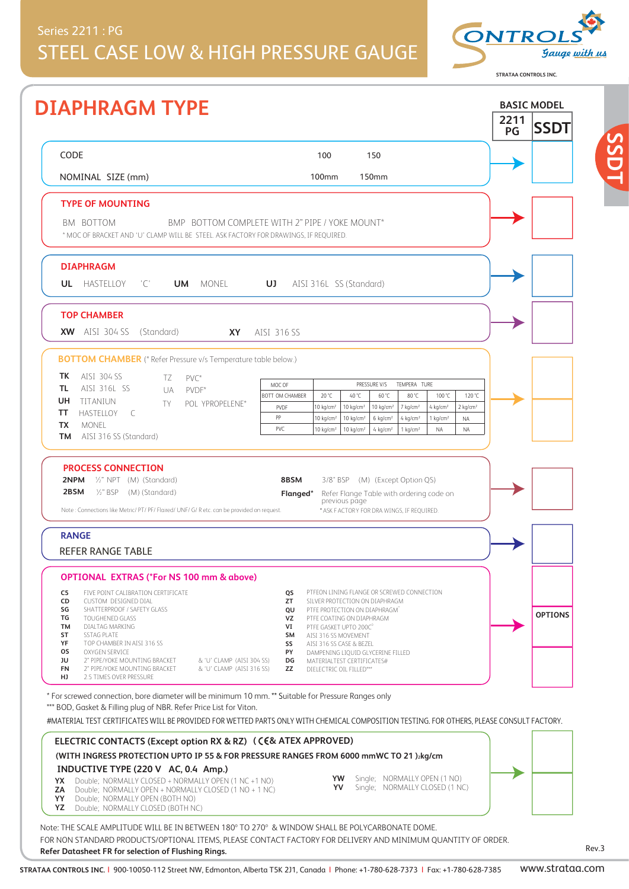# Series 2211 : PG STEEL CASE LOW & HIGH PRESSURE GAUGE



**STRATAA CONTROLS INC.**

**SSDT**

|                                                                                                                                                                                                                                                                                                     | 2211 | <b>SSDT</b>    |
|-----------------------------------------------------------------------------------------------------------------------------------------------------------------------------------------------------------------------------------------------------------------------------------------------------|------|----------------|
|                                                                                                                                                                                                                                                                                                     | PG   |                |
| CODE<br>100<br>150                                                                                                                                                                                                                                                                                  |      |                |
| 100 <sub>mm</sub><br><b>150mm</b><br>NOMINAL SIZE (mm)                                                                                                                                                                                                                                              |      |                |
| <b>TYPE OF MOUNTING</b>                                                                                                                                                                                                                                                                             |      |                |
| BMP BOTTOM COMPLETE WITH 2" PIPE / YOKE MOUNT*<br>BM BOTTOM<br>* MOC OF BRACKET AND 'U' CLAMP WILL BE STEEL. ASK FACTORY FOR DRAWINGS. IF REOUIRED.                                                                                                                                                 |      |                |
|                                                                                                                                                                                                                                                                                                     |      |                |
| <b>DIAPHRAGM</b>                                                                                                                                                                                                                                                                                    |      |                |
| <b>UL</b> HASTELLOY<br>$^{\prime}$ C' $^{\prime}$<br><b>UM</b> MONEL<br>UJ.<br>AISI 316L SS (Standard)                                                                                                                                                                                              |      |                |
| <b>TOP CHAMBER</b>                                                                                                                                                                                                                                                                                  |      |                |
| XW AISI 304 SS (Standard)<br><b>XY</b><br>AISI 316 SS                                                                                                                                                                                                                                               |      |                |
| <b>BOTTOM CHAMBER</b> (* Refer Pressure v/s Temperature table below.)                                                                                                                                                                                                                               |      |                |
| AISI 304 SS<br>TK.<br>TZ.<br>PVC*                                                                                                                                                                                                                                                                   |      |                |
| MOC OF<br>PRESSURE V/S<br>TEMPERA TURE<br>AISI 316L SS<br>TL<br>UA<br>$\mathsf{PVDF}^*$<br>20 °C<br>40 °C<br>60 °C<br>100 °C<br>120 °C<br><b>BOTT OM CHAMBER</b><br>80 °C                                                                                                                           |      |                |
| UH<br>TITANIUN<br>TY.<br>POL YPROPELENE*<br>$10 \text{ kg/cm}^2$<br>$10 \text{ kg/cm}^2$<br>$10 \text{ kg/cm}^2$<br>$7$ kg/cm <sup>2</sup><br>PVDF<br>4 kg/cm <sup>2</sup><br>$2$ kg/cm <sup>2</sup><br>TΤ<br>HASTELLOY C                                                                           |      |                |
| PP<br>10 kg/cm <sup>2</sup><br>$10 \text{ kg/cm}^2$<br>$6$ kg/cm <sup>2</sup><br>$4$ kg/cm <sup>2</sup><br>$1$ kg/cm <sup>2</sup><br><b>NA</b><br>monel<br>TX<br>PVC<br>$10 \text{ kg/cm}^2$<br>10 kg/cm <sup>2</sup><br>$4$ kg/cm <sup>2</sup><br>$1$ kg/cm <sup>2</sup><br><b>NA</b><br><b>NA</b> |      |                |
| <b>PROCESS CONNECTION</b>                                                                                                                                                                                                                                                                           |      |                |
| 8BSM<br><b>2NPM</b> $\frac{1}{2}$ " NPT (M) (Standard)<br>3/8" BSP (M) (Except Option QS)<br><b>2BSM</b> 1/2" BSP (M) (Standard)<br>Refer Flange Table with ordering code on<br>Flanged*<br>previous page                                                                                           |      |                |
| Note: Connections like Metric/ PT/ PF/ Flaired/ UNF/ G/ R etc. can be provided on request.<br>* ASK F ACTORY FOR DRA WINGS, IF REQUIRED.                                                                                                                                                            |      |                |
| <b>RANGE</b>                                                                                                                                                                                                                                                                                        |      |                |
| <b>REFER RANGE TABLE</b>                                                                                                                                                                                                                                                                            |      |                |
| <b>OPTIONAL EXTRAS (*For NS 100 mm &amp; above)</b>                                                                                                                                                                                                                                                 |      |                |
| C5<br>PTFEON LINING FLANGE OR SCREWED CONNECTION<br>FIVE POINT CALIBRATION CERTIFICATE<br>QS<br>CD<br>CUSTOM DESIGNED DIAL<br>ZT<br>SILVER PROTECTION ON DIAPHRAGM                                                                                                                                  |      |                |
| SG<br>SHATTERPROOF / SAFETY GLASS<br>QU<br>PTFE PROTECTION ON DIAPHRAGM"<br>TG<br>TOUGHENED GLASS<br>VZ<br>PTFE COATING ON DIAPHRAGM                                                                                                                                                                |      | <b>OPTIONS</b> |
| TM<br>DIALTAG MARKING<br>VI<br>PTFE GASKET UPTO 200C°<br>ST<br><b>SSTAG PLATE</b><br>SM<br>AISI 316 SS MOVEMENT                                                                                                                                                                                     |      |                |
| YF<br>TOP CHAMBER IN AISI 316 SS<br>SS<br>AISI 316 SS CASE & BEZEL<br>os<br>OXYGEN SERVICE<br>PY<br>DAMPENING LIQUID GLYCERINE FILLED                                                                                                                                                               |      |                |
| JU<br>2" PIPE/YOKE MOUNTING BRACKET<br>& 'U' CLAMP (AISI 304 SS)<br>DG<br>MATERIALTEST CERTIFICATES#<br>FN<br>2" PIPE/YOKE MOUNTING BRACKET<br>& 'U' CLAMP (AISI 316 SS)<br>ZZ<br>DIELECTRIC OIL FILLED***<br>HJ<br>2.5 TIMES OVER PRESSURE                                                         |      |                |
| * For screwed connection, bore diameter will be minimum 10 mm. ** Suitable for Pressure Ranges only                                                                                                                                                                                                 |      |                |
| *** BOD, Gasket & Filling plug of NBR. Refer Price List for Viton.                                                                                                                                                                                                                                  |      |                |
| #MATERIAL TEST CERTIFICATES WILL BE PROVIDED FOR WETTED PARTS ONLY WITH CHEMICAL COMPOSITION TESTING. FOR OTHERS, PLEASE CONSULT FACTORY.                                                                                                                                                           |      |                |
| ELECTRIC CONTACTS (Except option RX & RZ) (CE& ATEX APPROVED)                                                                                                                                                                                                                                       |      |                |
| (WITH INGRESS PROTECTION UPTO IP 55 & FOR PRESSURE RANGES FROM 6000 mmWC TO 21 ): kg/cm<br>INDUCTIVE TYPE (220 V AC, 0.4 Amp.)                                                                                                                                                                      |      |                |
| YW Single; NORMALLY OPEN (1 NO)<br>Double; NORMALLY CLOSED + NORMALLY OPEN (1 NC +1 NO)<br>YX .<br><b>YV</b>                                                                                                                                                                                        |      |                |
| Single; NORMALLY CLOSED (1 NC)<br>ZA<br>Double; NORMALLY OPEN + NORMALLY CLOSED (1 NO + 1 NC)<br>YY<br>Double; NORMALLY OPEN (BOTH NO)<br>YZ<br>Double; NORMALLY CLOSED (BOTH NC)                                                                                                                   |      |                |